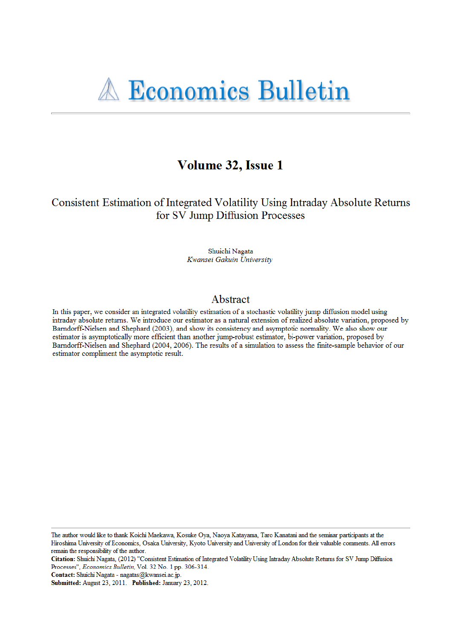# Volume 32, Issue 1

Consistent Estimation of Integrated Volatility Using Intraday Absolute Returns for SV Jump Diffusion Processes

> Shuichi Nagata Kwansei Gakuin University

# Abstract

In this paper, we consider an integrated volatility estimation of a stochastic volatility jump diffusion model using intraday absolute returns. We introduce our estimator as a natural extension of realized absolute variation, proposed by Barndorff-Nielsen and Shephard (2003), and show its consistency and asymptotic normality. We also show our estimator is asymptotically more efficient than another jump-robust estimator, bi-power variation, proposed by Barndorff-Nielsen and Shephard (2004, 2006). The results of a simulation to assess the finite-sample behavior of our estimator compliment the asymptotic result.

The author would like to thank Koichi Maekawa, Kosuke Oya, Naoya Katayama, Taro Kanatani and the seminar participants at the Hiroshima University of Economics, Osaka University, Kyoto University and University of London for their valuable comments. All errors remain the responsibility of the author.

Contact: Shuichi Nagata - nagatas@kwansei.ac.jp.

Citation: Shuichi Nagata, (2012) "Consistent Estimation of Integrated Volatility Using Intraday Absolute Returns for SV Jump Diffusion Processes", Economics Bulletin, Vol. 32 No. 1 pp. 306-314.

Submitted: August 23, 2011. Published: January 23, 2012.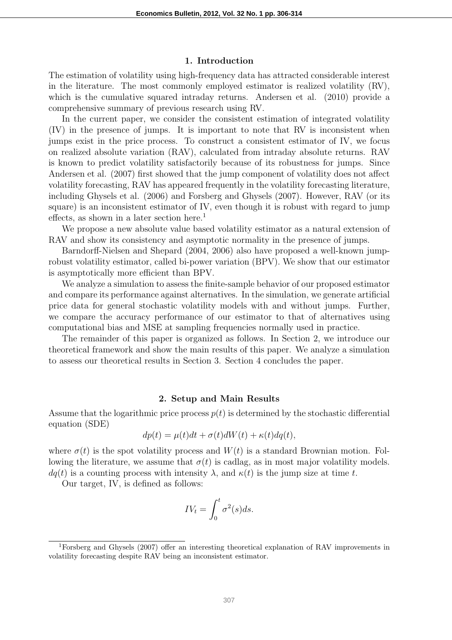#### **1. Introduction**

The estimation of volatility using high-frequency data has attracted considerable interest in the literature. The most commonly employed estimator is realized volatility (RV), which is the cumulative squared intraday returns. Andersen et al. (2010) provide a comprehensive summary of previous research using RV.

In the current paper, we consider the consistent estimation of integrated volatility (IV) in the presence of jumps. It is important to note that RV is inconsistent when jumps exist in the price process. To construct a consistent estimator of IV, we focus on realized absolute variation (RAV), calculated from intraday absolute returns. RAV is known to predict volatility satisfactorily because of its robustness for jumps. Since Andersen et al. (2007) first showed that the jump component of volatility does not affect volatility forecasting, RAV has appeared frequently in the volatility forecasting literature, including Ghysels et al. (2006) and Forsberg and Ghysels (2007). However, RAV (or its square) is an inconsistent estimator of IV, even though it is robust with regard to jump effects, as shown in a later section here.<sup>1</sup>

We propose a new absolute value based volatility estimator as a natural extension of RAV and show its consistency and asymptotic normality in the presence of jumps.

Barndorff-Nielsen and Shepard (2004, 2006) also have proposed a well-known jumprobust volatility estimator, called bi-power variation (BPV). We show that our estimator is asymptotically more efficient than BPV.

We analyze a simulation to assess the finite-sample behavior of our proposed estimator and compare its performance against alternatives. In the simulation, we generate artificial price data for general stochastic volatility models with and without jumps. Further, we compare the accuracy performance of our estimator to that of alternatives using computational bias and MSE at sampling frequencies normally used in practice.

The remainder of this paper is organized as follows. In Section 2, we introduce our theoretical framework and show the main results of this paper. We analyze a simulation to assess our theoretical results in Section 3. Section 4 concludes the paper.

#### **2. Setup and Main Results**

Assume that the logarithmic price process  $p(t)$  is determined by the stochastic differential equation (SDE)

$$
dp(t) = \mu(t)dt + \sigma(t)dW(t) + \kappa(t)dq(t),
$$

where  $\sigma(t)$  is the spot volatility process and  $W(t)$  is a standard Brownian motion. Following the literature, we assume that  $\sigma(t)$  is cadlag, as in most major volatility models.  $dq(t)$  is a counting process with intensity  $\lambda$ , and  $\kappa(t)$  is the jump size at time *t*.

Our target, IV, is defined as follows:

$$
IV_t = \int_0^t \sigma^2(s)ds.
$$

<sup>1</sup>Forsberg and Ghysels (2007) offer an interesting theoretical explanation of RAV improvements in volatility forecasting despite RAV being an inconsistent estimator.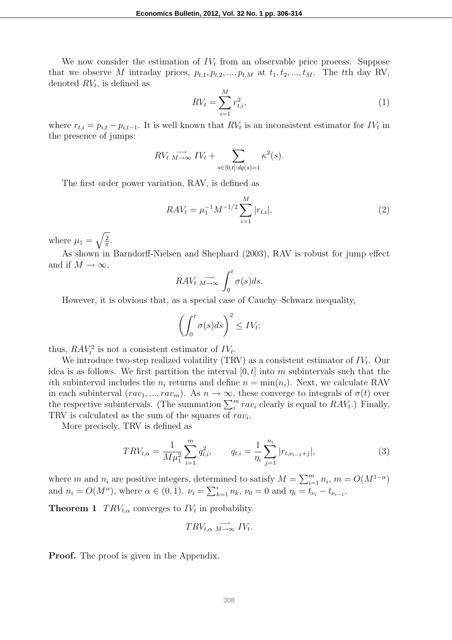We now consider the estimation of  $IV_t$  from an observable price process. Suppose that we observe *M* intraday prices,  $p_{t,1}, p_{t,2}, \ldots, p_{t,M}$  at  $t_1, t_2, \ldots, t_M$ . The *t*<sup>th</sup> day RV, denoted *RV<sup>t</sup>* , is defined as

$$
RV_t = \sum_{i=1}^{M} r_{t,i}^2,
$$
\n(1)

where  $r_{t,i} = p_{i,t} - p_{i,t-1}$ . It is well known that  $RV_t$  is an inconsistent estimator for  $IV_t$  in the presence of jumps:

$$
RV_t \xrightarrow[M \to \infty]{} IV_t + \sum_{s \in [0,t]:dq(s)=1} \kappa^2(s).
$$

The first order power variation, RAV, is defined as

$$
RAV_t = \mu_1^{-1} M^{-1/2} \sum_{i=1}^{M} |r_{t,i}|,
$$
\n(2)

where  $\mu_1 = \sqrt{\frac{2}{\pi}}$  $\frac{2}{\pi}$ .

As shown in Barndorff-Nielsen and Shephard (2003), RAV is robust for jump effect and if  $M \to \infty$ ,

$$
RAV_t \xrightarrow[M \to \infty]{} \int_0^t \sigma(s)ds.
$$

However, it is obvious that, as a special case of Cauchy–Schwarz inequality,

$$
\left(\int_0^t \sigma(s)ds\right)^2 \leq IV_t;
$$

thus,  $RAV_t^2$  is not a consistent estimator of  $IV_t$ .

We introduce two-step realized volatility (TRV) as a consistent estimator of *IV<sup>t</sup>* . Our idea is as follows. We first partition the interval [0*, t*] into *m* subintervals such that the *i*th subinterval includes the  $n_i$  returns and define  $n = \min(n_i)$ . Next, we calculate RAV in each subinterval  $(rav_1, ..., rav_m)$ . As  $n \to \infty$ , these converge to integrals of  $\sigma(t)$  over the respective subintervals. (The summation  $\sum_{i}^{m} rav_i$  clearly is equal to  $RAV_t$ .) Finally, TRV is calculated as the sum of the squares of *rav<sup>i</sup>* .

More precisely, TRV is defined as

$$
TRV_{t,\alpha} = \frac{1}{M\mu_1^2} \sum_{i=1}^m q_{t,i}^2, \qquad q_{t,i} = \frac{1}{\eta_i} \sum_{j=1}^{n_i} |r_{t,\nu_{i-1}+j}|,\tag{3}
$$

where *m* and  $n_i$  are positive integers, determined to satisfy  $M = \sum_{i=1}^{m} n_i$ ,  $m = O(M^{1-\alpha})$ and  $n_i = O(M^{\alpha})$ , where  $\alpha \in (0, 1)$ .  $\nu_i = \sum_{k=1}^i n_k$ ,  $\nu_0 = 0$  and  $\eta_i = t_{\nu_i} - t_{\nu_{i-1}}$ .

**Theorem 1**  $TRV_{t,\alpha}$  converges to  $IV_t$  in probability.

$$
TRV_{t,\alpha} \xrightarrow[M \to \infty]{} IV_t.
$$

**Proof.** The proof is given in the Appendix.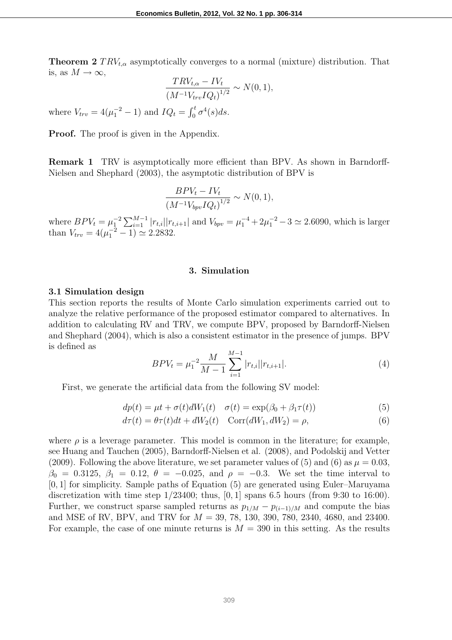**Theorem 2**  $TRV_{t,\alpha}$  asymptotically converges to a normal (mixture) distribution. That is, as  $M \to \infty$ ,

$$
\frac{TRV_{t,\alpha} - IV_t}{(M^{-1}V_{trv}IQ_t)^{1/2}} \sim N(0,1),
$$

where  $V_{trv} = 4(\mu_1^{-2} - 1)$  and  $IQ_t = \int_0^t \sigma^4(s) ds$ .

**Proof.** The proof is given in the Appendix.

**Remark 1** TRV is asymptotically more efficient than BPV. As shown in Barndorff-Nielsen and Shephard (2003), the asymptotic distribution of BPV is

$$
\frac{BPV_t - IV_t}{(M^{-1}V_{bpv}IQ_t)^{1/2}} \sim N(0, 1),
$$

where  $BPV_t = \mu_1^{-2} \sum_{i=1}^{M-1} |r_{t,i}||r_{t,i+1}|$  and  $V_{bpv} = \mu_1^{-4} + 2\mu_1^{-2} - 3 \simeq 2.6090$ , which is larger than  $V_{trv} = 4(\mu_1^{-2} - 1) \approx 2.2832$ .

# **3. Simulation**

#### **3.1 Simulation design**

This section reports the results of Monte Carlo simulation experiments carried out to analyze the relative performance of the proposed estimator compared to alternatives. In addition to calculating RV and TRV, we compute BPV, proposed by Barndorff-Nielsen and Shephard (2004), which is also a consistent estimator in the presence of jumps. BPV is defined as

$$
BPV_t = \mu_1^{-2} \frac{M}{M-1} \sum_{i=1}^{M-1} |r_{t,i}| |r_{t,i+1}|.
$$
 (4)

First, we generate the artificial data from the following SV model:

$$
dp(t) = \mu t + \sigma(t)dW_1(t) \quad \sigma(t) = \exp(\beta_0 + \beta_1 \tau(t)) \tag{5}
$$

$$
d\tau(t) = \theta \tau(t)dt + dW_2(t) \quad \text{Corr}(dW_1, dW_2) = \rho,
$$
\n(6)

where  $\rho$  is a leverage parameter. This model is common in the literature; for example, see Huang and Tauchen (2005), Barndorff-Nielsen et al. (2008), and Podolskij and Vetter (2009). Following the above literature, we set parameter values of (5) and (6) as  $\mu = 0.03$ , *β*<sub>0</sub> = 0.3125, *β*<sub>1</sub> = 0.12, *θ* = −0.025, and *ρ* = −0.3. We set the time interval to [0*,* 1] for simplicity. Sample paths of Equation (5) are generated using Euler–Maruyama discretization with time step 1/23400; thus, [0*,* 1] spans 6.5 hours (from 9:30 to 16:00). Further, we construct sparse sampled returns as  $p_{1/M} - p_{(i-1)/M}$  and compute the bias and MSE of RV, BPV, and TRV for *M* = 39, 78, 130, 390, 780, 2340, 4680, and 23400. For example, the case of one minute returns is  $M = 390$  in this setting. As the results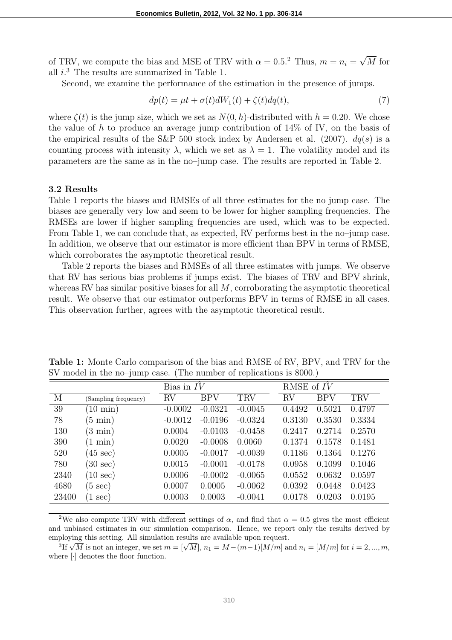of TRV, we compute the bias and MSE of TRV with  $\alpha = 0.5$ <sup>2</sup> Thus,  $m = n_i = \sqrt{M}$  for all *i*. <sup>3</sup> The results are summarized in Table 1.

Second, we examine the performance of the estimation in the presence of jumps.

$$
dp(t) = \mu t + \sigma(t)dW_1(t) + \zeta(t)dq(t),
$$
\n(7)

where  $\zeta(t)$  is the jump size, which we set as  $N(0, h)$ -distributed with  $h = 0.20$ . We chose the value of *h* to produce an average jump contribution of 14% of IV, on the basis of the empirical results of the S&P 500 stock index by Andersen et al. (2007). *dq*(*s*) is a counting process with intensity  $\lambda$ , which we set as  $\lambda = 1$ . The volatility model and its parameters are the same as in the no–jump case. The results are reported in Table 2.

#### **3.2 Results**

Table 1 reports the biases and RMSEs of all three estimates for the no jump case. The biases are generally very low and seem to be lower for higher sampling frequencies. The RMSEs are lower if higher sampling frequencies are used, which was to be expected. From Table 1, we can conclude that, as expected, RV performs best in the no–jump case. In addition, we observe that our estimator is more efficient than BPV in terms of RMSE, which corroborates the asymptotic theoretical result.

Table 2 reports the biases and RMSEs of all three estimates with jumps. We observe that RV has serious bias problems if jumps exist. The biases of TRV and BPV shrink, whereas RV has similar positive biases for all *M*, corroborating the asymptotic theoretical result. We observe that our estimator outperforms BPV in terms of RMSE in all cases. This observation further, agrees with the asymptotic theoretical result.

|       |                      | Bias in $IV$ |            |           | RMSE of IV |            |            |
|-------|----------------------|--------------|------------|-----------|------------|------------|------------|
| М     | (Sampling frequency) | RV           | <b>BPV</b> | TRV       | RV         | <b>BPV</b> | <b>TRV</b> |
| 39    | $10 \text{ min}$ )   | $-0.0002$    | $-0.0321$  | $-0.0045$ | 0.4492     | 0.5021     | 0.4797     |
| 78    | $(5 \text{ min})$    | $-0.0012$    | $-0.0196$  | $-0.0324$ | 0.3130     | 0.3530     | 0.3334     |
| 130   | $(3 \text{ min})$    | 0.0004       | $-0.0103$  | $-0.0458$ | 0.2417     | 0.2714     | 0.2570     |
| 390   | min)<br>(1)          | 0.0020       | $-0.0008$  | 0.0060    | 0.1374     | 0.1578     | 0.1481     |
| 520   | $(45 \text{ sec})$   | 0.0005       | $-0.0017$  | $-0.0039$ | 0.1186     | 0.1364     | 0.1276     |
| 780   | $(30 \text{ sec})$   | 0.0015       | $-0.0001$  | $-0.0178$ | 0.0958     | 0.1099     | 0.1046     |
| 2340  | $(10 \text{ sec})$   | 0.0006       | $-0.0002$  | $-0.0065$ | 0.0552     | 0.0632     | 0.0597     |
| 4680  | $(5 \text{ sec})$    | 0.0007       | 0.0005     | $-0.0062$ | 0.0392     | 0.0448     | 0.0423     |
| 23400 | sec)                 | 0.0003       | 0.0003     | $-0.0041$ | 0.0178     | 0.0203     | 0.0195     |

**Table 1:** Monte Carlo comparison of the bias and RMSE of RV, BPV, and TRV for the SV model in the no–jump case. (The number of replications is 8000.)

<sup>2</sup>We also compute TRV with different settings of  $\alpha$ , and find that  $\alpha = 0.5$  gives the most efficient and unbiased estimates in our simulation comparison. Hence, we report only the results derived by employing this setting. All simulation results are available upon request.

 ${}^{3}$ If  $\sqrt{M}$  is not an integer, we set  $m = [\sqrt{M}]$ ,  $n_1 = M - (m-1)[M/m]$  and  $n_i = [M/m]$  for  $i = 2, ..., m$ , where [*·*] denotes the floor function.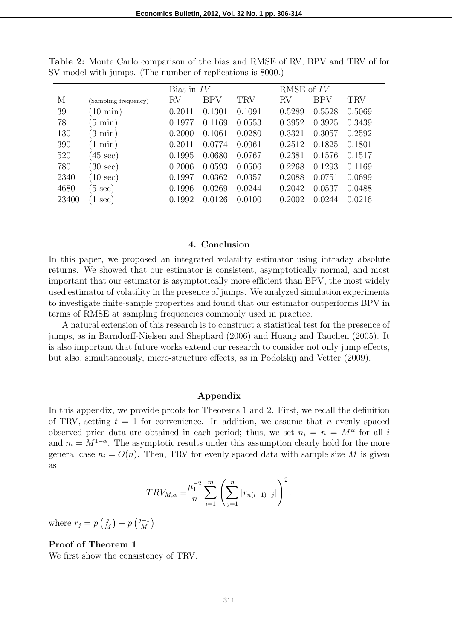|       |                      | Bias in $IV$ |            |            | RMSE of $IV$ |            |            |
|-------|----------------------|--------------|------------|------------|--------------|------------|------------|
| M     | (Sampling frequency) | RV           | <b>BPV</b> | $\rm{TRV}$ | RV           | <b>BPV</b> | <b>TRV</b> |
| 39    | $(10 \text{ min})$   | 0.2011       | 0.1301     | 0.1091     | 0.5289       | 0.5528     | 0.5069     |
| 78    | $(5 \text{ min})$    | 0.1977       | 0.1169     | 0.0553     | 0.3952       | 0.3925     | 0.3439     |
| 130   | $(3 \text{ min})$    | 0.2000       | 0.1061     | 0.0280     | 0.3321       | 0.3057     | 0.2592     |
| 390   | min)<br>$^{\prime}1$ | 0.2011       | 0.0774     | 0.0961     | 0.2512       | 0.1825     | 0.1801     |
| 520   | $(45 \text{ sec})$   | 0.1995       | 0.0680     | 0.0767     | 0.2381       | 0.1576     | 0.1517     |
| 780   | $(30 \text{ sec})$   | 0.2006       | 0.0593     | 0.0506     | 0.2268       | 0.1293     | 0.1169     |
| 2340  | $(10 \text{ sec})$   | 0.1997       | 0.0362     | 0.0357     | 0.2088       | 0.0751     | 0.0699     |
| 4680  | $(5 \text{ sec})$    | 0.1996       | 0.0269     | 0.0244     | 0.2042       | 0.0537     | 0.0488     |
| 23400 | sec)                 | 0.1992       | 0.0126     | 0.0100     | 0.2002       | 0.0244     | 0.0216     |

**Table 2:** Monte Carlo comparison of the bias and RMSE of RV, BPV and TRV of for SV model with jumps. (The number of replications is 8000.)

# **4. Conclusion**

In this paper, we proposed an integrated volatility estimator using intraday absolute returns. We showed that our estimator is consistent, asymptotically normal, and most important that our estimator is asymptotically more efficient than BPV, the most widely used estimator of volatility in the presence of jumps. We analyzed simulation experiments to investigate finite-sample properties and found that our estimator outperforms BPV in terms of RMSE at sampling frequencies commonly used in practice.

A natural extension of this research is to construct a statistical test for the presence of jumps, as in Barndorff-Nielsen and Shephard (2006) and Huang and Tauchen (2005). It is also important that future works extend our research to consider not only jump effects, but also, simultaneously, micro-structure effects, as in Podolskij and Vetter (2009).

#### **Appendix**

In this appendix, we provide proofs for Theorems 1 and 2. First, we recall the definition of TRV, setting  $t = 1$  for convenience. In addition, we assume that *n* evenly spaced observed price data are obtained in each period; thus, we set  $n_i = n = M^{\alpha}$  for all *i* and  $m = M^{1-\alpha}$ . The asymptotic results under this assumption clearly hold for the more general case  $n_i = O(n)$ . Then, TRV for evenly spaced data with sample size M is given as

$$
TRV_{M,\alpha} = \frac{\mu_1^{-2}}{n} \sum_{i=1}^{m} \left( \sum_{j=1}^{n} |r_{n(i-1)+j}| \right)^2.
$$

where  $r_j = p\left(\frac{j}{\lambda}\right)$ *j*<sub>*M*</sub></sub> $) − p \left(\frac{j-1}{M}\right)$  $\frac{-1}{M}$ .

# **Proof of Theorem 1**

We first show the consistency of TRV.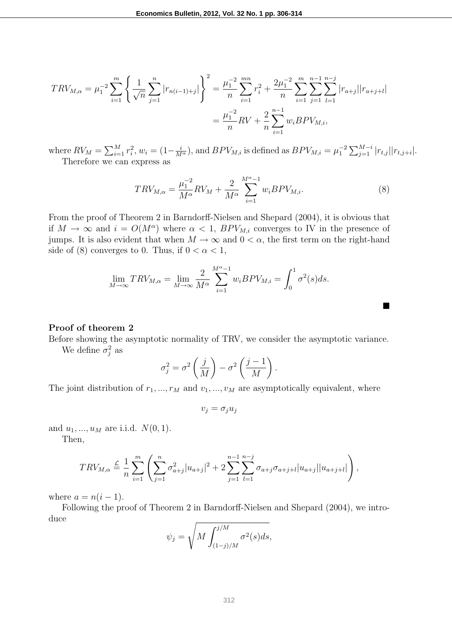$$
TRV_{M,\alpha} = \mu_1^{-2} \sum_{i=1}^m \left\{ \frac{1}{\sqrt{n}} \sum_{j=1}^n |r_{n(i-1)+j}| \right\}^2 = \frac{\mu_1^{-2}}{n} \sum_{i=1}^{mn} r_i^2 + \frac{2\mu_1^{-2}}{n} \sum_{i=1}^m \sum_{j=1}^{n-1} \sum_{l=1}^{n-j} |r_{a+j}||r_{a+j+l}|
$$
  
=  $\frac{\mu_1^{-2}}{n} RV + \frac{2}{n} \sum_{i=1}^{n-1} w_i BPV_{M,i},$ 

where  $RV_M = \sum_{i=1}^{M} r_i^2$ ,  $w_i = (1 - \frac{i}{M^{\alpha}})$ , and  $BPV_{M,i}$  is defined as  $BPV_{M,i} = \mu_1^{-2} \sum_{j=1}^{M-i} |r_{t,j}| |r_{t,j+i}|$ . Therefore we can express as

$$
TRV_{M,\alpha} = \frac{\mu_1^{-2}}{M^{\alpha}}RV_M + \frac{2}{M^{\alpha}} \sum_{i=1}^{M^{\alpha}-1} w_i BPV_{M,i}.
$$
 (8)

) *.*

¥

From the proof of Theorem 2 in Barndorff-Nielsen and Shepard (2004), it is obvious that if  $M \to \infty$  and  $i = O(M^{\alpha})$  where  $\alpha < 1$ ,  $BPV_{M,i}$  converges to IV in the presence of jumps. It is also evident that when  $M \to \infty$  and  $0 < \alpha$ , the first term on the right-hand side of (8) converges to 0. Thus, if  $0 < \alpha < 1$ ,

$$
\lim_{M \to \infty} TRV_{M,\alpha} = \lim_{M \to \infty} \frac{2}{M^{\alpha}} \sum_{i=1}^{M^{\alpha}-1} w_i BPV_{M,i} = \int_0^1 \sigma^2(s) ds.
$$

#### **Proof of theorem 2**

Before showing the asymptotic normality of TRV, we consider the asymptotic variance. We define  $\sigma_j^2$  as

$$
\sigma_j^2 = \sigma^2 \left(\frac{j}{M}\right) - \sigma^2 \left(\frac{j-1}{M}\right)
$$

The joint distribution of  $r_1, ..., r_M$  and  $v_1, ..., v_M$  are asymptotically equivalent, where

 $v_j = \sigma_j u_j$ 

and  $u_1, ..., u_M$  are i.i.d.  $N(0, 1)$ .

Then,

$$
TRV_{M,\alpha} \stackrel{\mathcal{L}}{=} \frac{1}{n} \sum_{i=1}^{m} \left( \sum_{j=1}^{n} \sigma_{a+j}^{2} |u_{a+j}|^{2} + 2 \sum_{j=1}^{n-1} \sum_{l=1}^{n-j} \sigma_{a+j} \sigma_{a+j+l} |u_{a+j}| |u_{a+j+l}| \right),
$$

where  $a = n(i-1)$ .

Following the proof of Theorem 2 in Barndorff-Nielsen and Shepard (2004), we introduce

$$
\psi_j = \sqrt{M \int_{(1-j)/M}^{j/M} \sigma^2(s) ds},
$$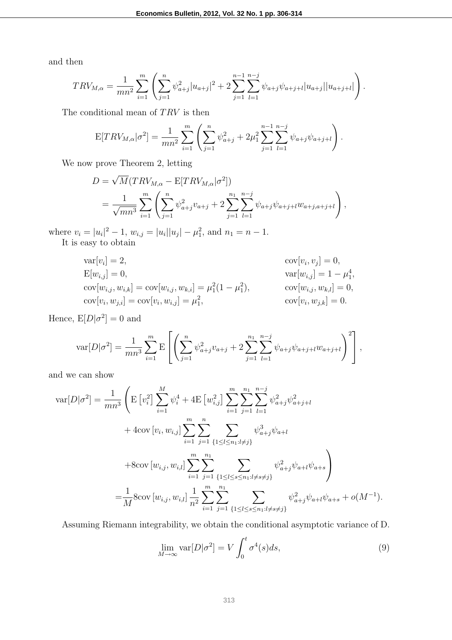and then

$$
TRV_{M,\alpha} = \frac{1}{mn^2} \sum_{i=1}^m \left( \sum_{j=1}^n \psi_{a+j}^2 |u_{a+j}|^2 + 2 \sum_{j=1}^{n-1} \sum_{l=1}^{n-j} \psi_{a+j} \psi_{a+j+l} |u_{a+j}| |u_{a+j+l}| \right).
$$

The conditional mean of *T RV* is then

$$
E[TRV_{M,\alpha}|\sigma^2] = \frac{1}{mn^2} \sum_{i=1}^m \left( \sum_{j=1}^n \psi_{a+j}^2 + 2\mu_1^2 \sum_{j=1}^{n-1} \sum_{l=1}^{n-j} \psi_{a+j} \psi_{a+j+l} \right).
$$

We now prove Theorem 2, letting

$$
D = \sqrt{M}(TRV_{M,\alpha} - E[TRV_{M,\alpha}|\sigma^2])
$$
  
= 
$$
\frac{1}{\sqrt{mn^3}} \sum_{i=1}^{m} \left( \sum_{j=1}^{n} \psi_{a+j}^2 v_{a+j} + 2 \sum_{j=1}^{n_1} \sum_{l=1}^{n-j} \psi_{a+j} \psi_{a+j+l} w_{a+j,a+j+l} \right),
$$

where  $v_i = |u_i|^2 - 1$ ,  $w_{i,j} = |u_i||u_j| - \mu_1^2$ , and  $n_1 = n - 1$ . It is easy to obtain

$$
\begin{aligned}\n\text{var}[v_i] &= 2, & \text{cov}[v_i, v_j] &= 0, \\
\text{E}[w_{i,j}] &= 0, & \text{var}[w_{i,j}] &= 1 - \mu_1^4, \\
\text{cov}[w_{i,j}, w_{i,k}] &= \text{cov}[w_{i,j}, w_{k,i}] = \mu_1^2 (1 - \mu_1^2), & \text{cov}[w_{i,j}, w_{k,l}] &= 0, \\
\text{cov}[v_i, w_{j,i}] &= \text{cov}[v_i, w_{i,j}] = \mu_1^2, & \text{cov}[v_i, w_{j,k}] &= 0.\n\end{aligned}
$$

Hence,  $E[D|\sigma^2] = 0$  and

$$
\text{var}[D|\sigma^2] = \frac{1}{mn^3} \sum_{i=1}^m \mathbb{E}\left[\left(\sum_{j=1}^n \psi_{a+j}^2 v_{a+j} + 2\sum_{j=1}^{n_1} \sum_{l=1}^{n-j} \psi_{a+j} \psi_{a+j+l} w_{a+j+l}\right)^2\right],
$$

and we can show

$$
\begin{split} \text{var}[D|\sigma^{2}] &= \frac{1}{mn^{3}} \left( \mathbf{E} \left[ v_{i}^{2} \right] \sum_{i=1}^{M} \psi_{i}^{4} + 4 \mathbf{E} \left[ w_{i,j}^{2} \right] \sum_{i=1}^{m} \sum_{j=1}^{n_{1}} \sum_{l=1}^{n-j} \psi_{a+j}^{2} \psi_{a+j+l}^{2} \right. \\ &\quad \left. + 4 \text{cov} \left[ v_{i}, w_{i,j} \right] \sum_{i=1}^{m} \sum_{j=1}^{n} \sum_{\{1 \leq l \leq n_{1}: l \neq j\}} \psi_{a+j}^{3} \psi_{a+l} \right. \\ &\quad \left. + 8 \text{cov} \left[ w_{i,j}, w_{i,l} \right] \sum_{i=1}^{m} \sum_{j=1}^{n_{1}} \sum_{\{1 \leq l \leq s \leq n_{1}: l \neq s \neq j\}} \psi_{a+j}^{2} \psi_{a+l} \psi_{a+s} \right) \\ &= \frac{1}{M} 8 \text{cov} \left[ w_{i,j}, w_{i,l} \right] \frac{1}{n^{2}} \sum_{i=1}^{m} \sum_{j=1}^{n_{1}} \sum_{\{1 \leq l \leq s \leq n_{1}: l \neq s \neq j\}} \psi_{a+j}^{2} \psi_{a+l} \psi_{a+s} + o(M^{-1}). \end{split}
$$

Assuming Riemann integrability, we obtain the conditional asymptotic variance of D.

$$
\lim_{M \to \infty} \text{var}[D|\sigma^2] = V \int_0^t \sigma^4(s) ds,\tag{9}
$$